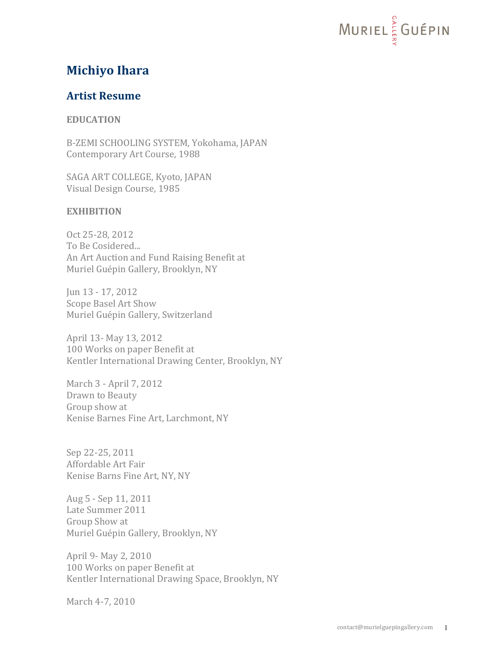

### **Michiyo Ihara**

### **Artist Resume**

#### **EDUCATION**

B-ZEMI SCHOOLING SYSTEM, Yokohama, JAPAN Contemporary Art Course, 1988

SAGA ART COLLEGE, Kyoto, JAPAN Visual Design Course, 1985

#### **EXHIBITION**

Oct 25-28, 2012 To Be Cosidered... An Art Auction and Fund Raising Benefit at Muriel Guépin Gallery, Brooklyn, NY

Jun 13 - 17, 2012 Scope Basel Art Show Muriel Guépin Gallery, Switzerland

April 13- May 13, 2012 100 Works on paper Benefit at Kentler International Drawing Center, Brooklyn, NY

March 3 - April 7, 2012 Drawn to Beauty Group show at Kenise Barnes Fine Art, Larchmont, NY

Sep 22-25, 2011 Affordable Art Fair Kenise Barns Fine Art, NY, NY

Aug 5 - Sep 11, 2011 Late Summer 2011 Group Show at Muriel Guépin Gallery, Brooklyn, NY

April 9- May 2, 2010 100 Works on paper Benefit at Kentler International Drawing Space, Brooklyn, NY

March 4-7, 2010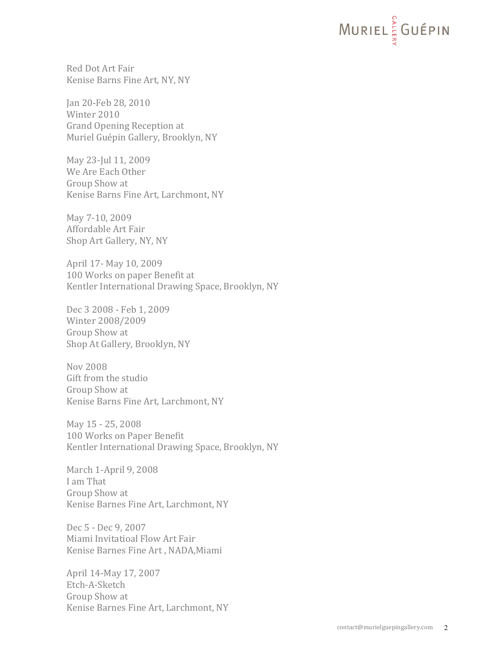## **MURIEL**<sup>2</sup><sub><sub>3</sub></sup> GUÉPIN</sub>

Red Dot Art Fair Kenise Barns Fine Art, NY, NY

Jan 20-Feb 28, 2010 Winter 2010 Grand Opening Reception at Muriel Guépin Gallery, Brooklyn, NY

May 23-Jul 11, 2009 We Are Each Other Group Show at Kenise Barns Fine Art, Larchmont, NY

May 7-10, 2009 Affordable Art Fair Shop Art Gallery, NY, NY

April 17- May 10, 2009 100 Works on paper Benefit at Kentler International Drawing Space, Brooklyn, NY

Dec 3 2008 - Feb 1, 2009 Winter 2008/2009 Group Show at Shop At Gallery, Brooklyn, NY

Nov 2008 Gift from the studio Group Show at Kenise Barns Fine Art, Larchmont, NY

May 15 - 25, 2008 100 Works on Paper Benefit Kentler International Drawing Space, Brooklyn, NY

March 1-April 9, 2008 I am That Group Show at Kenise Barnes Fine Art, Larchmont, NY

Dec 5 - Dec 9, 2007 Miami Invitatioal Flow Art Fair Kenise Barnes Fine Art, NADA, Miami

April 14-May 17, 2007 Etch-A-Sketch Group Show at Kenise Barnes Fine Art, Larchmont, NY